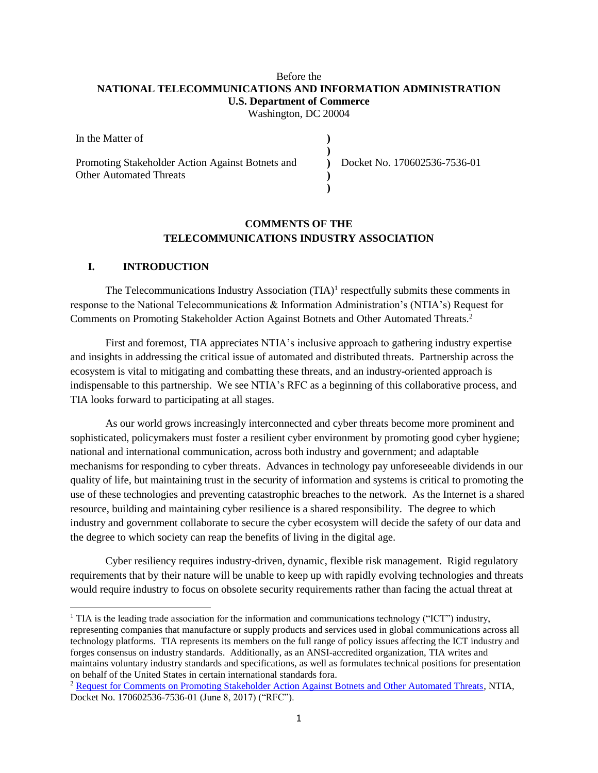# Before the **NATIONAL TELECOMMUNICATIONS AND INFORMATION ADMINISTRATION U.S. Department of Commerce**

Washington, DC 20004

| In the Matter of                                 |                              |  |
|--------------------------------------------------|------------------------------|--|
|                                                  |                              |  |
| Promoting Stakeholder Action Against Botnets and | Docket No. 170602536-7536-01 |  |
| <b>Other Automated Threats</b>                   |                              |  |
|                                                  |                              |  |

### **COMMENTS OF THE TELECOMMUNICATIONS INDUSTRY ASSOCIATION**

#### **I. INTRODUCTION**

 $\overline{a}$ 

The Telecommunications Industry Association  $(TIA)^1$  respectfully submits these comments in response to the National Telecommunications & Information Administration's (NTIA's) Request for Comments on Promoting Stakeholder Action Against Botnets and Other Automated Threats.<sup>2</sup>

First and foremost, TIA appreciates NTIA's inclusive approach to gathering industry expertise and insights in addressing the critical issue of automated and distributed threats. Partnership across the ecosystem is vital to mitigating and combatting these threats, and an industry-oriented approach is indispensable to this partnership. We see NTIA's RFC as a beginning of this collaborative process, and TIA looks forward to participating at all stages.

As our world grows increasingly interconnected and cyber threats become more prominent and sophisticated, policymakers must foster a resilient cyber environment by promoting good cyber hygiene; national and international communication, across both industry and government; and adaptable mechanisms for responding to cyber threats. Advances in technology pay unforeseeable dividends in our quality of life, but maintaining trust in the security of information and systems is critical to promoting the use of these technologies and preventing catastrophic breaches to the network. As the Internet is a shared resource, building and maintaining cyber resilience is a shared responsibility. The degree to which industry and government collaborate to secure the cyber ecosystem will decide the safety of our data and the degree to which society can reap the benefits of living in the digital age.

Cyber resiliency requires industry-driven, dynamic, flexible risk management. Rigid regulatory requirements that by their nature will be unable to keep up with rapidly evolving technologies and threats would require industry to focus on obsolete security requirements rather than facing the actual threat at

<sup>&</sup>lt;sup>1</sup> TIA is the leading trade association for the information and communications technology ("ICT") industry, representing companies that manufacture or supply products and services used in global communications across all technology platforms. TIA represents its members on the full range of policy issues affecting the ICT industry and forges consensus on industry standards. Additionally, as an ANSI-accredited organization, TIA writes and maintains voluntary industry standards and specifications, as well as formulates technical positions for presentation on behalf of the United States in certain international standards fora.

<sup>2</sup> [Request for Comments on Promoting Stakeholder Action Against Botnets and Other Automated Threats,](https://www.ntia.doc.gov/federal-register-notice/2017/rfc-promoting-stakeholder-action-against-botnets-and-other-automated-threats) NTIA, Docket No. 170602536-7536-01 (June 8, 2017) ("RFC").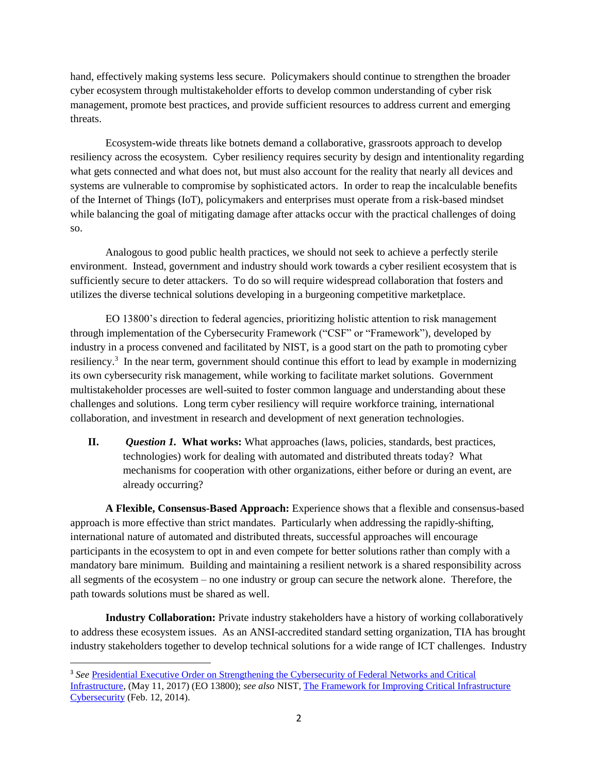hand, effectively making systems less secure. Policymakers should continue to strengthen the broader cyber ecosystem through multistakeholder efforts to develop common understanding of cyber risk management, promote best practices, and provide sufficient resources to address current and emerging threats.

Ecosystem-wide threats like botnets demand a collaborative, grassroots approach to develop resiliency across the ecosystem. Cyber resiliency requires security by design and intentionality regarding what gets connected and what does not, but must also account for the reality that nearly all devices and systems are vulnerable to compromise by sophisticated actors. In order to reap the incalculable benefits of the Internet of Things (IoT), policymakers and enterprises must operate from a risk-based mindset while balancing the goal of mitigating damage after attacks occur with the practical challenges of doing so.

Analogous to good public health practices, we should not seek to achieve a perfectly sterile environment. Instead, government and industry should work towards a cyber resilient ecosystem that is sufficiently secure to deter attackers. To do so will require widespread collaboration that fosters and utilizes the diverse technical solutions developing in a burgeoning competitive marketplace.

EO 13800's direction to federal agencies, prioritizing holistic attention to risk management through implementation of the Cybersecurity Framework ("CSF" or "Framework"), developed by industry in a process convened and facilitated by NIST, is a good start on the path to promoting cyber resiliency.<sup>3</sup> In the near term, government should continue this effort to lead by example in modernizing its own cybersecurity risk management, while working to facilitate market solutions. Government multistakeholder processes are well-suited to foster common language and understanding about these challenges and solutions. Long term cyber resiliency will require workforce training, international collaboration, and investment in research and development of next generation technologies.

**II.** *Question 1.* **What works:** What approaches (laws, policies, standards, best practices, technologies) work for dealing with automated and distributed threats today? What mechanisms for cooperation with other organizations, either before or during an event, are already occurring?

**A Flexible, Consensus-Based Approach:** Experience shows that a flexible and consensus-based approach is more effective than strict mandates. Particularly when addressing the rapidly-shifting, international nature of automated and distributed threats, successful approaches will encourage participants in the ecosystem to opt in and even compete for better solutions rather than comply with a mandatory bare minimum. Building and maintaining a resilient network is a shared responsibility across all segments of the ecosystem – no one industry or group can secure the network alone. Therefore, the path towards solutions must be shared as well.

**Industry Collaboration:** Private industry stakeholders have a history of working collaboratively to address these ecosystem issues. As an ANSI-accredited standard setting organization, TIA has brought industry stakeholders together to develop technical solutions for a wide range of ICT challenges. Industry

 $\overline{\phantom{a}}$ 

<sup>3</sup> *See* [Presidential Executive Order on Strengthening the Cybersecurity of Federal Networks and Critical](http://www.whitehouse.gov/the-press-office/2017/05/11/presidential-executive-order-strengthening-the-cybersecurity-federal)  [Infrastructure,](http://www.whitehouse.gov/the-press-office/2017/05/11/presidential-executive-order-strengthening-the-cybersecurity-federal) (May 11, 2017) (EO 13800); *see also* NIST, [The Framework for Improving Critical Infrastructure](https://www.nist.gov/sites/default/files/documents/cyberframework/cybersecurity-framework-021214.pdf)  [Cybersecurity](https://www.nist.gov/sites/default/files/documents/cyberframework/cybersecurity-framework-021214.pdf) (Feb. 12, 2014).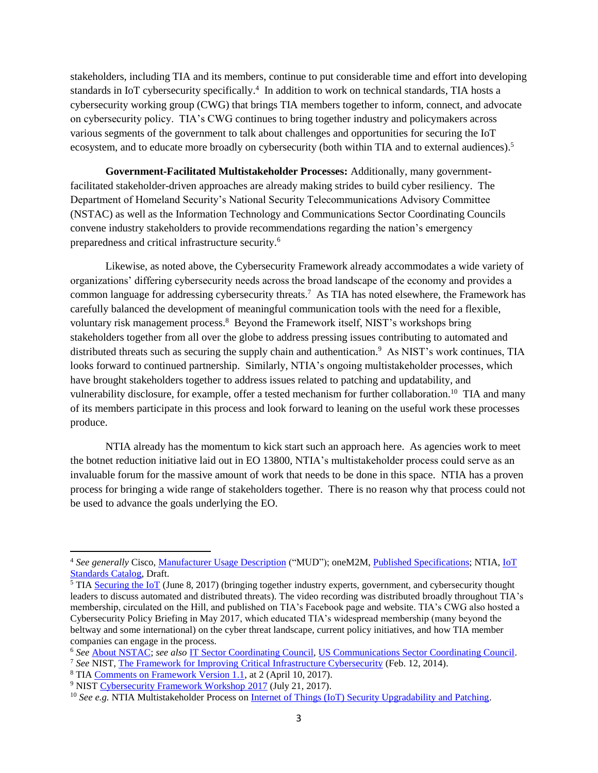stakeholders, including TIA and its members, continue to put considerable time and effort into developing standards in IoT cybersecurity specifically. 4 In addition to work on technical standards, TIA hosts a cybersecurity working group (CWG) that brings TIA members together to inform, connect, and advocate on cybersecurity policy. TIA's CWG continues to bring together industry and policymakers across various segments of the government to talk about challenges and opportunities for securing the IoT ecosystem, and to educate more broadly on cybersecurity (both within TIA and to external audiences).<sup>5</sup>

**Government-Facilitated Multistakeholder Processes:** Additionally, many governmentfacilitated stakeholder-driven approaches are already making strides to build cyber resiliency. The Department of Homeland Security's National Security Telecommunications Advisory Committee (NSTAC) as well as the Information Technology and Communications Sector Coordinating Councils convene industry stakeholders to provide recommendations regarding the nation's emergency preparedness and critical infrastructure security.<sup>6</sup>

Likewise, as noted above, the Cybersecurity Framework already accommodates a wide variety of organizations' differing cybersecurity needs across the broad landscape of the economy and provides a common language for addressing cybersecurity threats.<sup>7</sup> As TIA has noted elsewhere, the Framework has carefully balanced the development of meaningful communication tools with the need for a flexible, voluntary risk management process.<sup>8</sup> Beyond the Framework itself, NIST's workshops bring stakeholders together from all over the globe to address pressing issues contributing to automated and distributed threats such as securing the supply chain and authentication.<sup>9</sup> As NIST's work continues, TIA looks forward to continued partnership. Similarly, NTIA's ongoing multistakeholder processes, which have brought stakeholders together to address issues related to patching and updatability, and vulnerability disclosure, for example, offer a tested mechanism for further collaboration.<sup>10</sup> TIA and many of its members participate in this process and look forward to leaning on the useful work these processes produce.

NTIA already has the momentum to kick start such an approach here. As agencies work to meet the botnet reduction initiative laid out in EO 13800, NTIA's multistakeholder process could serve as an invaluable forum for the massive amount of work that needs to be done in this space. NTIA has a proven process for bringing a wide range of stakeholders together. There is no reason why that process could not be used to advance the goals underlying the EO.

 $\overline{\phantom{a}}$ 

<sup>4</sup> *See generally* Cisco, [Manufacturer Usage Description](https://datatracker.ietf.org/doc/draft-lear-ietf-netmod-mud/) ("MUD"); oneM2M, [Published Specifications;](http://www.onem2m.org/technical/published-documents) NTIA, [IoT](https://www.ntia.doc.gov/files/ntia/publications/iotsecuritystandardscatalog.pdf)  [Standards Catalog,](https://www.ntia.doc.gov/files/ntia/publications/iotsecuritystandardscatalog.pdf) Draft.

<sup>&</sup>lt;sup>5</sup> TIA [Securing the IoT](http://www.tiaonline.org/news-media/blog/tia-hosts-capitol-hill-policy-forum-securing-iot-network) (June 8, 2017) (bringing together industry experts, government, and cybersecurity thought leaders to discuss automated and distributed threats). The video recording was distributed broadly throughout TIA's membership, circulated on the Hill, and published on TIA's Facebook page and website. TIA's CWG also hosted a Cybersecurity Policy Briefing in May 2017, which educated TIA's widespread membership (many beyond the beltway and some international) on the cyber threat landscape, current policy initiatives, and how TIA member companies can engage in the process.

<sup>6</sup> *See* [About NSTAC;](http://www.dhs.gov/about-nstac) *see also* [IT Sector Coordinating Council,](http://www.it-scc.org/) [US Communications Sector Coordinating Council.](http://www.comms-scc.org/)

<sup>7</sup> *See* NIST, [The Framework for Improving Critical Infrastructure Cybersecurity](https://www.nist.gov/sites/default/files/documents/cyberframework/cybersecurity-framework-021214.pdf) (Feb. 12, 2014).

<sup>8</sup> TIA [Comments on Framework Version 1.1,](http://www.tiaonline.org/sites/default/files/TIA%20Comments%20on%20NIST%20Framework%20Update%204%2010%202017.pdf) at 2 (April 10, 2017).

<sup>9</sup> NIST [Cybersecurity Framework Workshop](https://www.nist.gov/sites/default/files/documents/2017/07/21/cybersecurity_framework_workshop_2017_summary_20170721_1.pdf) 2017 (July 21, 2017).

<sup>&</sup>lt;sup>10</sup> See e.g. NTIA Multistakeholder Process on [Internet of Things \(IoT\) Security Upgradability and Patching.](https://www.ntia.doc.gov/other-publication/2016/multistakeholder-process-iot-security)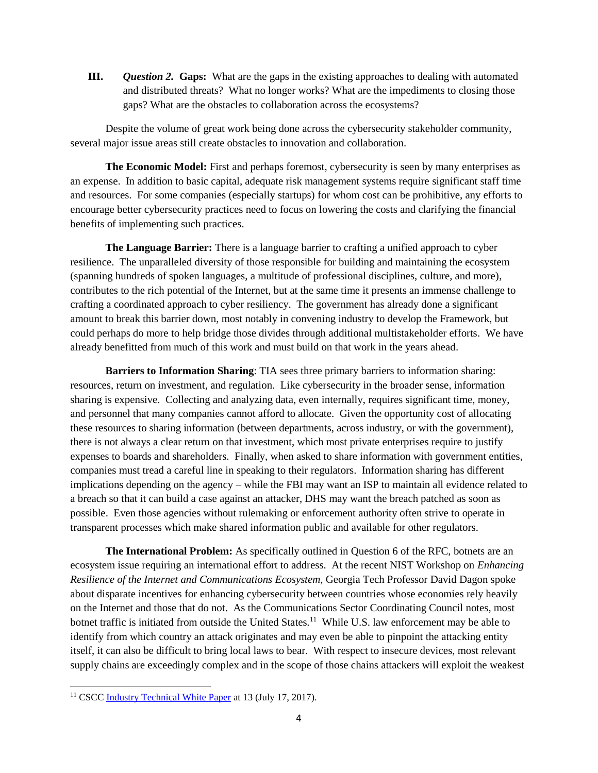**III.** *Question 2.* **Gaps:** What are the gaps in the existing approaches to dealing with automated and distributed threats? What no longer works? What are the impediments to closing those gaps? What are the obstacles to collaboration across the ecosystems?

Despite the volume of great work being done across the cybersecurity stakeholder community, several major issue areas still create obstacles to innovation and collaboration.

**The Economic Model:** First and perhaps foremost, cybersecurity is seen by many enterprises as an expense. In addition to basic capital, adequate risk management systems require significant staff time and resources. For some companies (especially startups) for whom cost can be prohibitive, any efforts to encourage better cybersecurity practices need to focus on lowering the costs and clarifying the financial benefits of implementing such practices.

**The Language Barrier:** There is a language barrier to crafting a unified approach to cyber resilience. The unparalleled diversity of those responsible for building and maintaining the ecosystem (spanning hundreds of spoken languages, a multitude of professional disciplines, culture, and more), contributes to the rich potential of the Internet, but at the same time it presents an immense challenge to crafting a coordinated approach to cyber resiliency. The government has already done a significant amount to break this barrier down, most notably in convening industry to develop the Framework, but could perhaps do more to help bridge those divides through additional multistakeholder efforts. We have already benefitted from much of this work and must build on that work in the years ahead.

**Barriers to Information Sharing**: TIA sees three primary barriers to information sharing: resources, return on investment, and regulation. Like cybersecurity in the broader sense, information sharing is expensive. Collecting and analyzing data, even internally, requires significant time, money, and personnel that many companies cannot afford to allocate. Given the opportunity cost of allocating these resources to sharing information (between departments, across industry, or with the government), there is not always a clear return on that investment, which most private enterprises require to justify expenses to boards and shareholders. Finally, when asked to share information with government entities, companies must tread a careful line in speaking to their regulators. Information sharing has different implications depending on the agency – while the FBI may want an ISP to maintain all evidence related to a breach so that it can build a case against an attacker, DHS may want the breach patched as soon as possible. Even those agencies without rulemaking or enforcement authority often strive to operate in transparent processes which make shared information public and available for other regulators.

**The International Problem:** As specifically outlined in Question 6 of the RFC, botnets are an ecosystem issue requiring an international effort to address. At the recent NIST Workshop on *Enhancing Resilience of the Internet and Communications Ecosystem*, Georgia Tech Professor David Dagon spoke about disparate incentives for enhancing cybersecurity between countries whose economies rely heavily on the Internet and those that do not. As the Communications Sector Coordinating Council notes, most botnet traffic is initiated from outside the United States.<sup>11</sup> While U.S. law enforcement may be able to identify from which country an attack originates and may even be able to pinpoint the attacking entity itself, it can also be difficult to bring local laws to bear. With respect to insecure devices, most relevant supply chains are exceedingly complex and in the scope of those chains attackers will exploit the weakest

 $\overline{\phantom{a}}$ 

<sup>&</sup>lt;sup>11</sup> CSCC [Industry Technical White Paper](https://docs.wixstatic.com/ugd/0a1552_18ae07afc1b04aa1bd13258087a9c77b.pdf) at 13 (July 17, 2017).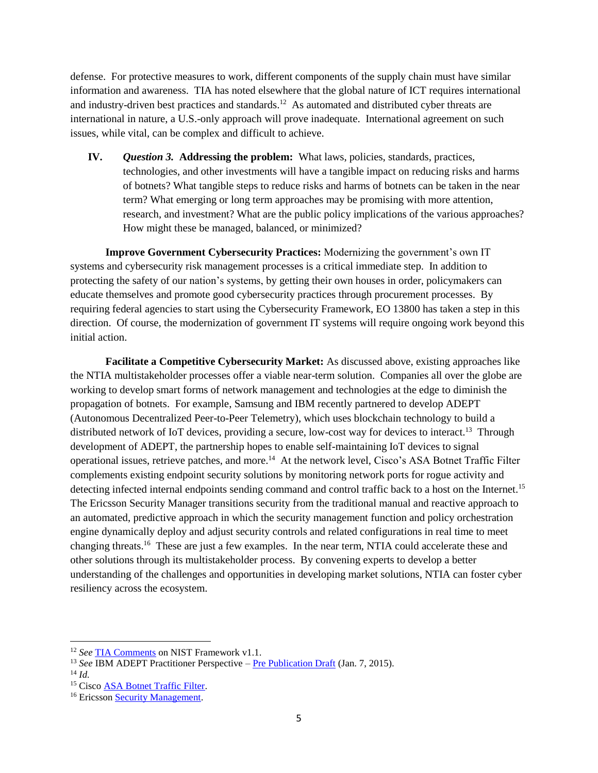defense. For protective measures to work, different components of the supply chain must have similar information and awareness. TIA has noted elsewhere that the global nature of ICT requires international and industry-driven best practices and standards.<sup>12</sup> As automated and distributed cyber threats are international in nature, a U.S.-only approach will prove inadequate. International agreement on such issues, while vital, can be complex and difficult to achieve.

**IV.** *Question 3.* **Addressing the problem:** What laws, policies, standards, practices, technologies, and other investments will have a tangible impact on reducing risks and harms of botnets? What tangible steps to reduce risks and harms of botnets can be taken in the near term? What emerging or long term approaches may be promising with more attention, research, and investment? What are the public policy implications of the various approaches? How might these be managed, balanced, or minimized?

**Improve Government Cybersecurity Practices:** Modernizing the government's own IT systems and cybersecurity risk management processes is a critical immediate step. In addition to protecting the safety of our nation's systems, by getting their own houses in order, policymakers can educate themselves and promote good cybersecurity practices through procurement processes. By requiring federal agencies to start using the Cybersecurity Framework, EO 13800 has taken a step in this direction. Of course, the modernization of government IT systems will require ongoing work beyond this initial action.

**Facilitate a Competitive Cybersecurity Market:** As discussed above, existing approaches like the NTIA multistakeholder processes offer a viable near-term solution. Companies all over the globe are working to develop smart forms of network management and technologies at the edge to diminish the propagation of botnets. For example, Samsung and IBM recently partnered to develop ADEPT (Autonomous Decentralized Peer-to-Peer Telemetry), which uses blockchain technology to build a distributed network of IoT devices, providing a secure, low-cost way for devices to interact.<sup>13</sup> Through development of ADEPT, the partnership hopes to enable self-maintaining IoT devices to signal operational issues, retrieve patches, and more.<sup>14</sup> At the network level, Cisco's ASA Botnet Traffic Filter complements existing endpoint security solutions by monitoring network ports for rogue activity and detecting infected internal endpoints sending command and control traffic back to a host on the Internet.<sup>15</sup> The Ericsson Security Manager transitions security from the traditional manual and reactive approach to an automated, predictive approach in which the security management function and policy orchestration engine dynamically deploy and adjust security controls and related configurations in real time to meet changing threats.<sup>16</sup> These are just a few examples. In the near term, NTIA could accelerate these and other solutions through its multistakeholder process. By convening experts to develop a better understanding of the challenges and opportunities in developing market solutions, NTIA can foster cyber resiliency across the ecosystem.

 $\overline{a}$ 

<sup>12</sup> *See* [TIA Comments](http://www.tiaonline.org/sites/default/files/TIA%20Comments%20on%20NIST%20Framework%20Update%204%2010%202017.pdf) on NIST Framework v1.1.

<sup>13</sup> *See* IBM ADEPT Practitioner Perspective – [Pre Publication Draft](http://www.scribd.com/mobile/doc/252917347/IBM-ADEPT-Practioner-Perspective-Pre-Publication-Draft-7-Jan-2015) (Jan. 7, 2015).

 $^{14}$  *Id.* 

<sup>&</sup>lt;sup>15</sup> Cisco [ASA Botnet Traffic Filter.](http://www.cisco.com/c/dam/en/us/products/collateral/security/asa-5500-series-next-generation-firewalls/at_a_glance_c45-530437.pdf)

<sup>&</sup>lt;sup>16</sup> Ericsson [Security Management.](https://www.ericsson.com/en/in-focus/security/security-management)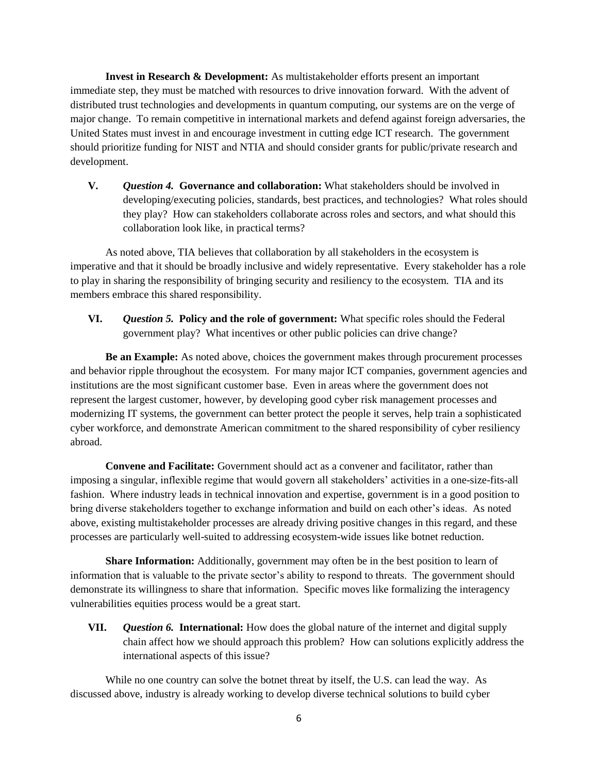**Invest in Research & Development:** As multistakeholder efforts present an important immediate step, they must be matched with resources to drive innovation forward. With the advent of distributed trust technologies and developments in quantum computing, our systems are on the verge of major change. To remain competitive in international markets and defend against foreign adversaries, the United States must invest in and encourage investment in cutting edge ICT research. The government should prioritize funding for NIST and NTIA and should consider grants for public/private research and development.

**V.** *Question 4.* **Governance and collaboration:** What stakeholders should be involved in developing/executing policies, standards, best practices, and technologies? What roles should they play? How can stakeholders collaborate across roles and sectors, and what should this collaboration look like, in practical terms?

As noted above, TIA believes that collaboration by all stakeholders in the ecosystem is imperative and that it should be broadly inclusive and widely representative. Every stakeholder has a role to play in sharing the responsibility of bringing security and resiliency to the ecosystem. TIA and its members embrace this shared responsibility.

**VI.** *Question 5.* **Policy and the role of government:** What specific roles should the Federal government play? What incentives or other public policies can drive change?

**Be an Example:** As noted above, choices the government makes through procurement processes and behavior ripple throughout the ecosystem. For many major ICT companies, government agencies and institutions are the most significant customer base. Even in areas where the government does not represent the largest customer, however, by developing good cyber risk management processes and modernizing IT systems, the government can better protect the people it serves, help train a sophisticated cyber workforce, and demonstrate American commitment to the shared responsibility of cyber resiliency abroad.

**Convene and Facilitate:** Government should act as a convener and facilitator, rather than imposing a singular, inflexible regime that would govern all stakeholders' activities in a one-size-fits-all fashion. Where industry leads in technical innovation and expertise, government is in a good position to bring diverse stakeholders together to exchange information and build on each other's ideas. As noted above, existing multistakeholder processes are already driving positive changes in this regard, and these processes are particularly well-suited to addressing ecosystem-wide issues like botnet reduction.

**Share Information:** Additionally, government may often be in the best position to learn of information that is valuable to the private sector's ability to respond to threats. The government should demonstrate its willingness to share that information. Specific moves like formalizing the interagency vulnerabilities equities process would be a great start.

**VII.** *Question 6.* **International:** How does the global nature of the internet and digital supply chain affect how we should approach this problem? How can solutions explicitly address the international aspects of this issue?

While no one country can solve the botnet threat by itself, the U.S. can lead the way. As discussed above, industry is already working to develop diverse technical solutions to build cyber